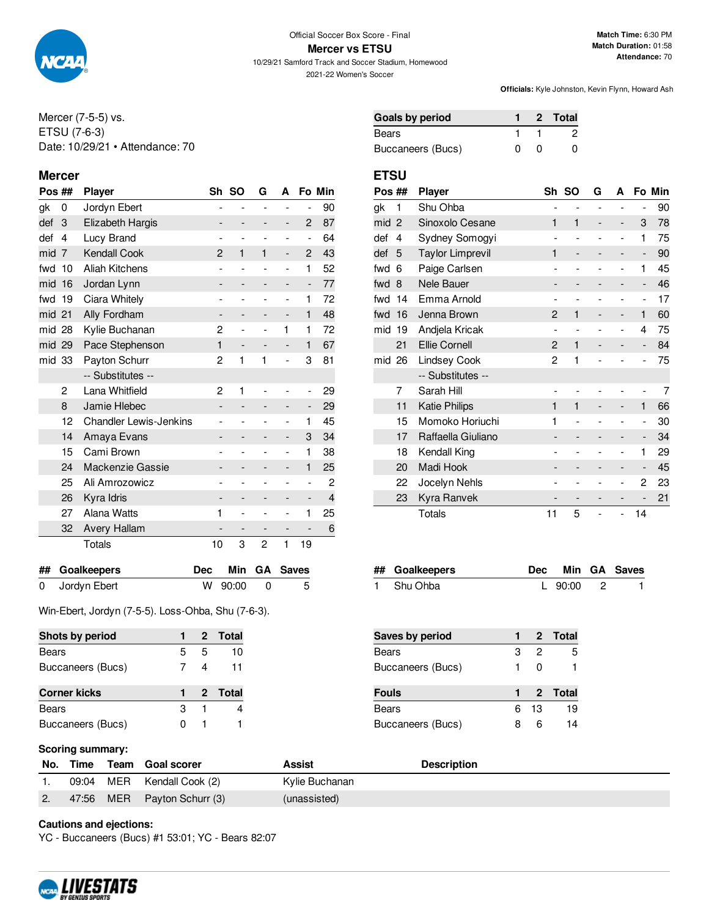

10/29/21 Samford Track and Soccer Stadium, Homewood 2021-22 Women's Soccer

**Officials:** Kyle Johnston, Kevin Flynn, Howard Ash

Mercer (7-5-5) vs. ETSU (7-6-3) Date: 10/29/21 • Attendance: 70

### **Mercer ETSU**

| Pos $\#$ |                | <b>Player</b>                 |            | Sh                           | <b>SO</b>                | G                        | A                        |                          | Fo Min |
|----------|----------------|-------------------------------|------------|------------------------------|--------------------------|--------------------------|--------------------------|--------------------------|--------|
| gk       | 0              | Jordyn Ebert                  |            |                              | $\overline{\phantom{0}}$ | $\overline{a}$           | $\overline{a}$           | $\overline{a}$           | 90     |
| def      | 3              | Elizabeth Hargis              |            |                              |                          |                          | $\overline{\phantom{0}}$ | $\overline{2}$           | 87     |
| def      | 4              | Lucy Brand                    |            | $\overline{\phantom{a}}$     | $\overline{\phantom{0}}$ | $\overline{\phantom{0}}$ | -                        | $\overline{\phantom{0}}$ | 64     |
| mid      | $\overline{7}$ | <b>Kendall Cook</b>           |            | $\overline{2}$               | $\mathbf{1}$             | 1                        | $\overline{\phantom{0}}$ | $\overline{c}$           | 43     |
| fwd      | 10             | Aliah Kitchens                |            | $\overline{\phantom{a}}$     | $\overline{\phantom{0}}$ |                          | $\overline{a}$           | $\mathbf{1}$             | 52     |
| mid      | 16             | Jordan Lynn                   |            |                              | -                        |                          | -                        | -                        | 77     |
| fwd      | 19             | Ciara Whitely                 |            |                              |                          |                          |                          | $\mathbf{1}$             | 72     |
| mid 21   |                | Ally Fordham                  |            | -                            | -                        |                          | -                        | 1                        | 48     |
| mid 28   |                | Kylie Buchanan                |            | 2                            | L,                       | $\overline{\phantom{0}}$ | 1                        | 1                        | 72     |
| mid 29   |                | Pace Stephenson               |            | 1                            | $\overline{\phantom{0}}$ |                          | $\overline{\phantom{0}}$ | 1                        | 67     |
| mid 33   |                | Payton Schurr                 |            | 2                            | 1                        | 1                        | $\overline{a}$           | 3                        | 81     |
|          |                | -- Substitutes --             |            |                              |                          |                          |                          |                          |        |
|          | 2              | Lana Whitfield                |            | 2                            | 1                        |                          |                          | -                        | 29     |
|          | 8              | Jamie Hlebec                  |            | $\qquad \qquad \blacksquare$ | $\overline{\phantom{0}}$ |                          | -                        | $\overline{\phantom{0}}$ | 29     |
|          | 12             | <b>Chandler Lewis-Jenkins</b> |            |                              | $\overline{a}$           |                          | $\overline{a}$           | 1                        | 45     |
|          | 14             | Amaya Evans                   |            |                              | -                        |                          |                          | 3                        | 34     |
|          | 15             | Cami Brown                    |            |                              |                          |                          |                          | $\mathbf{1}$             | 38     |
|          | 24             | Mackenzie Gassie              |            |                              | $\overline{\phantom{0}}$ |                          | -                        | 1                        | 25     |
|          | 25             | Ali Amrozowicz                |            |                              | $\overline{\phantom{0}}$ |                          | $\overline{\phantom{0}}$ | $\overline{a}$           | 2      |
|          | 26             | Kyra Idris                    |            |                              | $\overline{\phantom{0}}$ |                          |                          | -                        | 4      |
|          | 27             | Alana Watts                   |            | 1                            | $\overline{a}$           |                          | $\overline{a}$           | 1                        | 25     |
|          | 32             | <b>Avery Hallam</b>           |            |                              |                          |                          |                          |                          | 6      |
|          |                | Totals                        |            | 10                           | 3                        | $\overline{c}$           | 1                        | 19                       |        |
| ##       |                | Goalkeepers                   | <b>Dec</b> |                              | Min                      | GA                       |                          | <b>Saves</b>             |        |
| 0        |                | Jordyn Ebert                  | W          |                              | 90:00                    | 0                        |                          | 5                        |        |

Win-Ebert, Jordyn (7-5-5). Loss-Ohba, Shu (7-6-3).

| Shots by period     |   |   | 2 Total |
|---------------------|---|---|---------|
| <b>Bears</b>        | 5 | 5 | 10      |
| Buccaneers (Bucs)   | 7 | 4 | 11      |
|                     |   |   |         |
| <b>Corner kicks</b> |   |   | 2 Total |
| <b>Bears</b>        | з |   |         |

| <b>Goals by period</b> |          |       | 2 Total |
|------------------------|----------|-------|---------|
| Bears                  |          |       | -2      |
| Buccaneers (Bucs)      | $\Omega$ | - ( ) |         |

| Pos ## |                | Player                  | Sh                       | <b>SO</b>                | G                        | A                        |                          | Fo Min |
|--------|----------------|-------------------------|--------------------------|--------------------------|--------------------------|--------------------------|--------------------------|--------|
| gk     | 1              | Shu Ohba                | $\overline{\phantom{0}}$ | -                        | $\overline{\phantom{0}}$ | -                        | $\overline{\phantom{m}}$ | 90     |
| mid    | $\overline{2}$ | Sinoxolo Cesane         | 1                        | 1                        |                          | -                        | 3                        | 78     |
| def    | 4              | Sydney Somogyi          | $\overline{a}$           |                          |                          |                          | 1                        | 75     |
| def    | 5              | <b>Taylor Limprevil</b> | 1                        | -                        |                          | -                        | $\overline{\phantom{m}}$ | 90     |
| fwd    | 6              | Paige Carlsen           |                          |                          |                          |                          | 1                        | 45     |
| fwd    | 8              | Nele Bauer              |                          |                          |                          | -                        | -                        | 46     |
| fwd    | 14             | Emma Arnold             |                          |                          |                          |                          | -                        | 17     |
| fwd    | 16             | Jenna Brown             | $\overline{c}$           | 1                        |                          | -                        | $\mathbf{1}$             | 60     |
| mid    | 19             | Andjela Kricak          | $\overline{a}$           | $\overline{\phantom{a}}$ | $\overline{a}$           | -                        | 4                        | 75     |
|        | 21             | <b>Ellie Cornell</b>    | 2                        | 1                        |                          |                          | -                        | 84     |
| mid 26 |                | <b>Lindsey Cook</b>     | 2                        | 1                        |                          |                          |                          | 75     |
|        |                | -- Substitutes --       |                          |                          |                          |                          |                          |        |
|        | 7              | Sarah Hill              |                          |                          |                          |                          |                          | 7      |
|        | 11             | <b>Katie Philips</b>    | 1                        | 1                        |                          |                          | 1                        | 66     |
|        | 15             | Momoko Horiuchi         | 1                        |                          |                          |                          | $\overline{\phantom{0}}$ | 30     |
|        | 17             | Raffaella Giuliano      |                          |                          |                          | -                        | -                        | 34     |
|        | 18             | Kendall King            | $\overline{a}$           | $\overline{a}$           |                          | $\overline{\phantom{0}}$ | 1                        | 29     |
|        | 20             | Madi Hook               |                          |                          |                          | -                        | -                        | 45     |
|        | 22             | Jocelyn Nehls           |                          |                          |                          | -                        | 2                        | 23     |
|        | 23             | Kyra Ranvek             |                          |                          |                          | -                        |                          | 21     |
|        |                | Totals                  | 11                       | 5                        |                          | $\overline{\phantom{0}}$ | 14                       |        |

| ## Goalkeepers |             | Dec Min GA Saves |
|----------------|-------------|------------------|
| 1 Shu Ohba     | L $90:00$ 2 |                  |

| <b>Saves by period</b> |   |      | 2 Total |
|------------------------|---|------|---------|
| <b>Bears</b>           | з | 2    | 5       |
| Buccaneers (Bucs)      | 1 | O    |         |
| <b>Fouls</b>           |   |      | 2 Total |
| <b>Bears</b>           |   | 6 13 | 19      |
| Buccaneers (Bucs)      |   |      |         |

## **Scoring summary:**

|       | No. Time Team Goal scorer  | Assist         | <b>Description</b> |
|-------|----------------------------|----------------|--------------------|
|       | 09:04 MER Kendall Cook (2) | Kylie Buchanan |                    |
| 47:56 | MER Payton Schurr (3)      | (unassisted)   |                    |

### **Cautions and ejections:**

YC - Buccaneers (Bucs) #1 53:01; YC - Bears 82:07

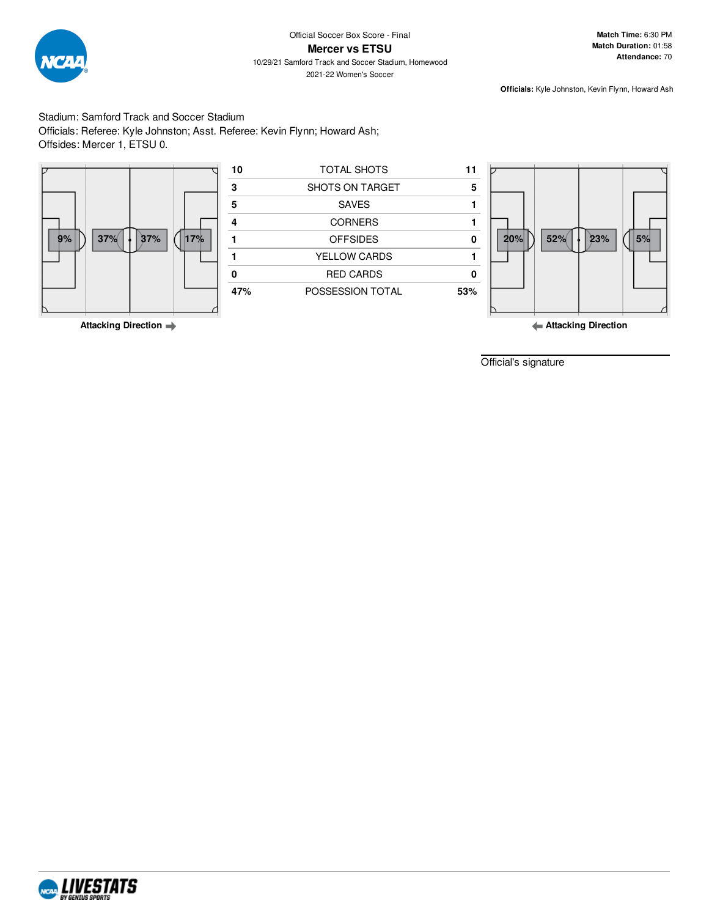

### **Mercer vs ETSU**

10/29/21 Samford Track and Soccer Stadium, Homewood 2021-22 Women's Soccer

**Officials:** Kyle Johnston, Kevin Flynn, Howard Ash

Stadium: Samford Track and Soccer Stadium Officials: Referee: Kyle Johnston; Asst. Referee: Kevin Flynn; Howard Ash; Offsides: Mercer 1, ETSU 0.



Official's signature

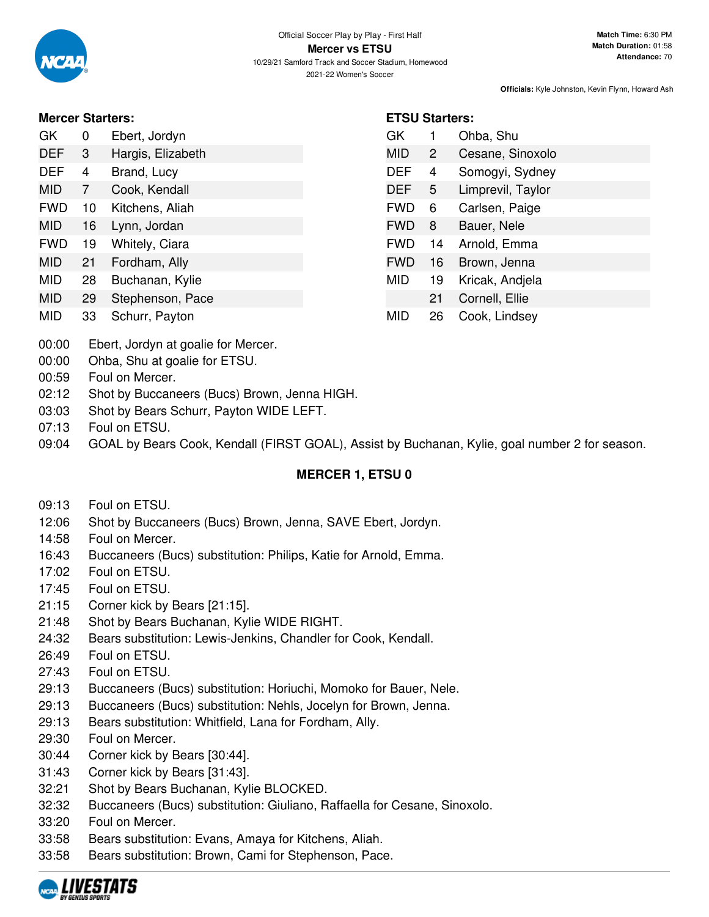**ETSU Starters:**

GK 1 Ohba, Shu

MID 2 Cesane, Sinoxolo DEF 4 Somogyi, Sydney DEF 5 Limprevil, Taylor FWD 6 Carlsen, Paige FWD 8 Bauer, Nele FWD 14 Arnold, Emma FWD 16 Brown, Jenna MID 19 Kricak, Andjela

21 Cornell, Ellie

MID 26 Cook, Lindsey

**Officials:** Kyle Johnston, Kevin Flynn, Howard Ash

## **Mercer Starters:**

| GK.  | $\Omega$     | Ebert, Jordyn     |
|------|--------------|-------------------|
| DEF. | -3           | Hargis, Elizabeth |
| DEF. | 4            | Brand, Lucy       |
| 11D  | $\mathbf{z}$ | Caak Kandall      |

- MID 7 Cook, Kendall
- FWD 10 Kitchens, Aliah
- MID 16 Lynn, Jordan FWD 19 Whitely, Ciara
- MID 21 Fordham, Ally
- MID 28 Buchanan, Kylie
- MID 29 Stephenson, Pace
- 
- MID 33 Schurr, Payton
- 00:00 Ebert, Jordyn at goalie for Mercer.
- 00:00 Ohba, Shu at goalie for ETSU.
- 00:59 Foul on Mercer.
- 02:12 Shot by Buccaneers (Bucs) Brown, Jenna HIGH.
- 03:03 Shot by Bears Schurr, Payton WIDE LEFT.
- 07:13 Foul on ETSU.
- 09:04 GOAL by Bears Cook, Kendall (FIRST GOAL), Assist by Buchanan, Kylie, goal number 2 for season.

# **MERCER 1, ETSU 0**

- 09:13 Foul on ETSU.
- 12:06 Shot by Buccaneers (Bucs) Brown, Jenna, SAVE Ebert, Jordyn.
- 14:58 Foul on Mercer.
- 16:43 Buccaneers (Bucs) substitution: Philips, Katie for Arnold, Emma.
- 17:02 Foul on ETSU.
- 17:45 Foul on ETSU.
- 21:15 Corner kick by Bears [21:15].
- 21:48 Shot by Bears Buchanan, Kylie WIDE RIGHT.
- 24:32 Bears substitution: Lewis-Jenkins, Chandler for Cook, Kendall.
- 26:49 Foul on ETSU.
- 27:43 Foul on ETSU.
- 29:13 Buccaneers (Bucs) substitution: Horiuchi, Momoko for Bauer, Nele.
- 29:13 Buccaneers (Bucs) substitution: Nehls, Jocelyn for Brown, Jenna.
- 29:13 Bears substitution: Whitfield, Lana for Fordham, Ally.
- 29:30 Foul on Mercer.
- 30:44 Corner kick by Bears [30:44].
- 31:43 Corner kick by Bears [31:43].
- 32:21 Shot by Bears Buchanan, Kylie BLOCKED.
- 32:32 Buccaneers (Bucs) substitution: Giuliano, Raffaella for Cesane, Sinoxolo.
- 33:20 Foul on Mercer.
- 33:58 Bears substitution: Evans, Amaya for Kitchens, Aliah.
- 33:58 Bears substitution: Brown, Cami for Stephenson, Pace.

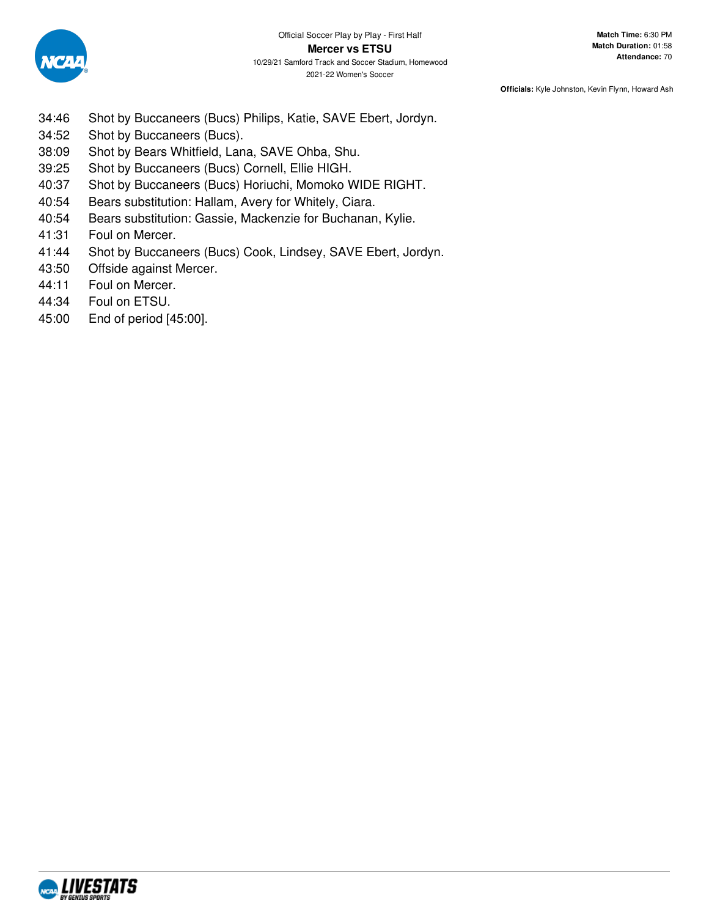

**Officials:** Kyle Johnston, Kevin Flynn, Howard Ash

- 34:46 Shot by Buccaneers (Bucs) Philips, Katie, SAVE Ebert, Jordyn.
- 34:52 Shot by Buccaneers (Bucs).
- 38:09 Shot by Bears Whitfield, Lana, SAVE Ohba, Shu.
- 39:25 Shot by Buccaneers (Bucs) Cornell, Ellie HIGH.
- 40:37 Shot by Buccaneers (Bucs) Horiuchi, Momoko WIDE RIGHT.
- 40:54 Bears substitution: Hallam, Avery for Whitely, Ciara.
- 40:54 Bears substitution: Gassie, Mackenzie for Buchanan, Kylie.
- 41:31 Foul on Mercer.
- 41:44 Shot by Buccaneers (Bucs) Cook, Lindsey, SAVE Ebert, Jordyn.
- 43:50 Offside against Mercer.
- 44:11 Foul on Mercer.
- 44:34 Foul on ETSU.
- 45:00 End of period [45:00].

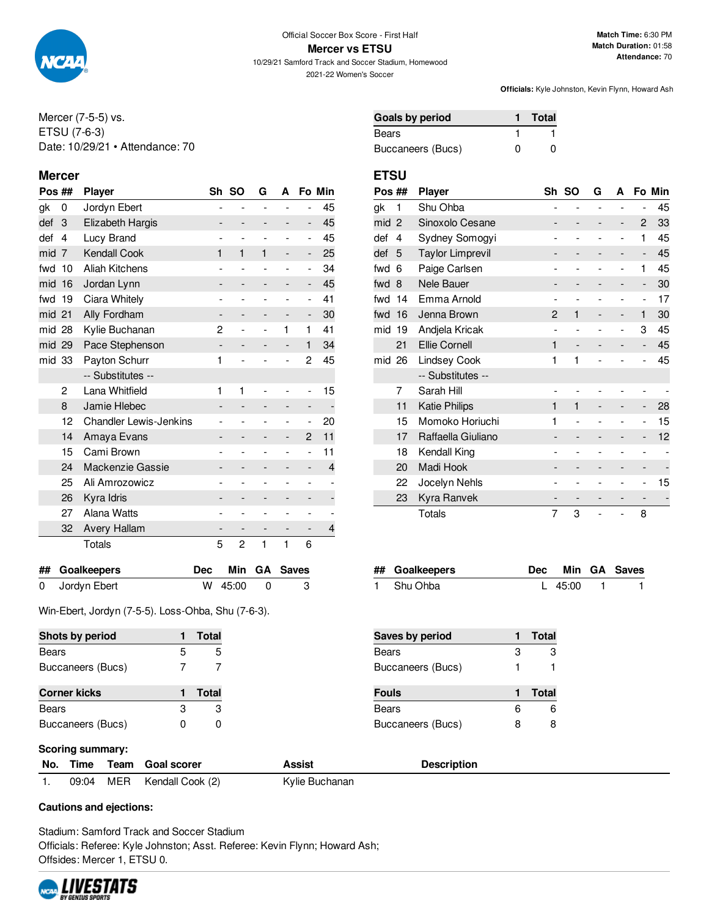

10/29/21 Samford Track and Soccer Stadium, Homewood 2021-22 Women's Soccer

**Match Time:** 6:30 PM **Match Duration:** 01:58 **Attendance:** 70

**Officials:** Kyle Johnston, Kevin Flynn, Howard Ash

Mercer (7-5-5) vs. ETSU (7-6-3) Date: 10/29/21 • Attendance: 70

### **Mercer ETSU**

| Pos ## |                | <b>Player</b>                 |            | Sh                       | <b>SO</b>                | G                        | A                        |                          | Fo Min |
|--------|----------------|-------------------------------|------------|--------------------------|--------------------------|--------------------------|--------------------------|--------------------------|--------|
| gk     | 0              | Jordyn Ebert                  |            | $\overline{\phantom{0}}$ | $\overline{\phantom{0}}$ | $\overline{a}$           |                          | $\overline{\phantom{0}}$ | 45     |
| def    | 3              | Elizabeth Hargis              |            |                          |                          |                          |                          | -                        | 45     |
| def    | 4              | Lucy Brand                    |            |                          | $\overline{a}$           |                          |                          | $\overline{a}$           | 45     |
| mid    | $\overline{7}$ | <b>Kendall Cook</b>           |            | 1                        | 1                        | 1                        | -                        | -                        | 25     |
| fwd    | 10             | <b>Aliah Kitchens</b>         |            |                          | $\overline{a}$           |                          | $\overline{\phantom{0}}$ | -                        | 34     |
| mid    | 16             | Jordan Lynn                   |            | -                        | -                        |                          | -                        | -                        | 45     |
| fwd    | 19             | Ciara Whitely                 |            |                          |                          |                          |                          | $\overline{\phantom{0}}$ | 41     |
| mid 21 |                | Ally Fordham                  |            |                          | -                        |                          |                          | -                        | 30     |
| mid 28 |                | Kylie Buchanan                |            | 2                        | $\overline{\phantom{0}}$ | $\overline{\phantom{a}}$ | 1                        | $\mathbf{1}$             | 41     |
| mid 29 |                | Pace Stephenson               |            | $\overline{\phantom{m}}$ | -                        |                          | -                        | 1                        | 34     |
| mid 33 |                | Payton Schurr                 |            | 1                        | $\overline{a}$           |                          | $\overline{\phantom{0}}$ | 2                        | 45     |
|        |                | -- Substitutes --             |            |                          |                          |                          |                          |                          |        |
|        | 2              | Lana Whitfield                |            | 1                        | 1                        |                          |                          | -                        | 15     |
|        | 8              | Jamie Hlebec                  |            |                          | $\overline{\phantom{0}}$ |                          | -                        | -                        |        |
|        | 12             | <b>Chandler Lewis-Jenkins</b> |            |                          | $\overline{\phantom{0}}$ |                          | -                        | ۰                        | 20     |
|        | 14             | Amaya Evans                   |            |                          | -                        |                          | -                        | $\overline{2}$           | 11     |
|        | 15             | Cami Brown                    |            |                          | $\overline{a}$           |                          |                          | $\overline{a}$           | 11     |
|        | 24             | Mackenzie Gassie              |            |                          |                          |                          |                          |                          | 4      |
|        | 25             | Ali Amrozowicz                |            | -                        | $\overline{\phantom{a}}$ |                          | $\overline{a}$           | $\overline{a}$           |        |
|        | 26             | Kyra Idris                    |            | -                        | -                        |                          |                          |                          |        |
|        | 27             | Alana Watts                   |            |                          | $\overline{a}$           |                          |                          |                          |        |
|        | 32             | <b>Avery Hallam</b>           |            |                          | $\overline{\phantom{0}}$ |                          |                          |                          | 4      |
|        |                | Totals                        |            | 5                        | $\overline{2}$           | 1                        | 1                        | 6                        |        |
| ##     |                | <b>Goalkeepers</b>            | <b>Dec</b> |                          | Min                      | GA                       |                          | <b>Saves</b>             |        |
| 0      |                | Jordyn Ebert                  | W          |                          | 45:00                    | 0                        |                          | 3                        |        |

Win-Ebert, Jordyn (7-5-5). Loss-Ohba, Shu (7-6-3).

**Shots by period 1 Total** Bears 5 5 Buccaneers (Bucs) 7 7 7

**Corner kicks 1 Total** Bears 3 3 3 Buccaneers (Bucs) 0 0

| <b>Goals by period</b> |   | Total    |
|------------------------|---|----------|
| Bears                  |   |          |
| Buccaneers (Bucs)      | n | $\Omega$ |

| Pos ## |                | <b>Player</b>           | Sh                       | <b>SO</b> | G              | A                        |                              | Fo Min |
|--------|----------------|-------------------------|--------------------------|-----------|----------------|--------------------------|------------------------------|--------|
| gk     | 1              | Shu Ohba                | $\overline{\phantom{0}}$ | -         | $\overline{a}$ | $\overline{a}$           | -                            | 45     |
| mid    | $\overline{2}$ | Sinoxolo Cesane         |                          |           |                | -                        | 2                            | 33     |
| def    | 4              | Sydney Somogyi          |                          |           |                |                          | 1                            | 45     |
| def    | 5              | <b>Taylor Limprevil</b> |                          |           |                | -                        | $\qquad \qquad \blacksquare$ | 45     |
| fwd    | 6              | Paige Carlsen           |                          |           |                |                          | 1                            | 45     |
| fwd    | -8             | Nele Bauer              |                          |           |                | -                        | $\overline{\phantom{m}}$     | 30     |
| fwd    | 14             | Emma Arnold             |                          |           |                |                          | $\overline{\phantom{0}}$     | 17     |
| fwd    | 16             | Jenna Brown             | 2                        | 1         |                | -                        | 1                            | 30     |
| mid    | 19             | Andjela Kricak          | $\overline{\phantom{0}}$ |           |                | $\overline{\phantom{0}}$ | 3                            | 45     |
|        | 21             | <b>Ellie Cornell</b>    | 1                        |           |                |                          |                              | 45     |
| mid 26 |                | Lindsey Cook            | 1                        | 1         |                |                          | $\overline{\phantom{a}}$     | 45     |
|        |                | -- Substitutes --       |                          |           |                |                          |                              |        |
|        | 7              | Sarah Hill              |                          |           |                |                          |                              |        |
|        | 11             | <b>Katie Philips</b>    | 1                        | 1         |                |                          |                              | 28     |
|        | 15             | Momoko Horiuchi         | 1                        |           |                |                          | -                            | 15     |
|        | 17             | Raffaella Giuliano      |                          |           |                |                          | -                            | 12     |
|        | 18             | Kendall King            |                          |           |                |                          |                              |        |
|        | 20             | Madi Hook               |                          |           |                |                          |                              |        |
|        | 22             | Jocelyn Nehls           | ۰                        |           |                |                          | -                            | 15     |
|        | 23             | Kyra Ranvek             |                          |           |                |                          |                              |        |
|        |                | Totals                  | 7                        | 3         |                |                          | 8                            |        |

| ## Goalkeepers |         | Dec Min GA Saves |
|----------------|---------|------------------|
| 1 Shu Ohba     | L 45:00 |                  |

| Saves by period   |   | Total        |
|-------------------|---|--------------|
| <b>Bears</b>      | З | З            |
| Buccaneers (Bucs) |   |              |
|                   |   |              |
| <b>Fouls</b>      |   | <b>Total</b> |
| <b>Bears</b>      | 6 | հ            |

## **Scoring summary:**

| No. | Time  | Team | <b>Goal scorer</b> | Assist         | Description |
|-----|-------|------|--------------------|----------------|-------------|
|     | 09:04 | MER  | Kendall Cook (2)   | Kylie Buchanan |             |

**Cautions and ejections:**

Stadium: Samford Track and Soccer Stadium Officials: Referee: Kyle Johnston; Asst. Referee: Kevin Flynn; Howard Ash; Offsides: Mercer 1, ETSU 0.

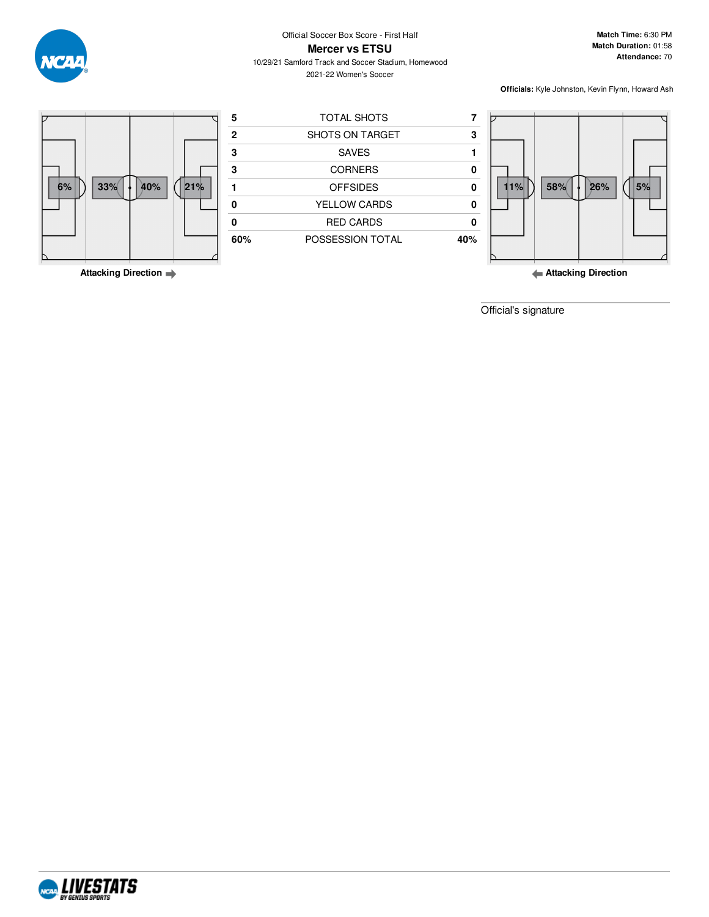

Official Soccer Box Score - First Half

**Match Time:** 6:30 PM **Match Duration:** 01:58 **Attendance:** 70

**Mercer vs ETSU** 10/29/21 Samford Track and Soccer Stadium, Homewood 2021-22 Women's Soccer

**Officials:** Kyle Johnston, Kevin Flynn, Howard Ash



**Attacking Direction**

**Attacking Direction**

Official's signature

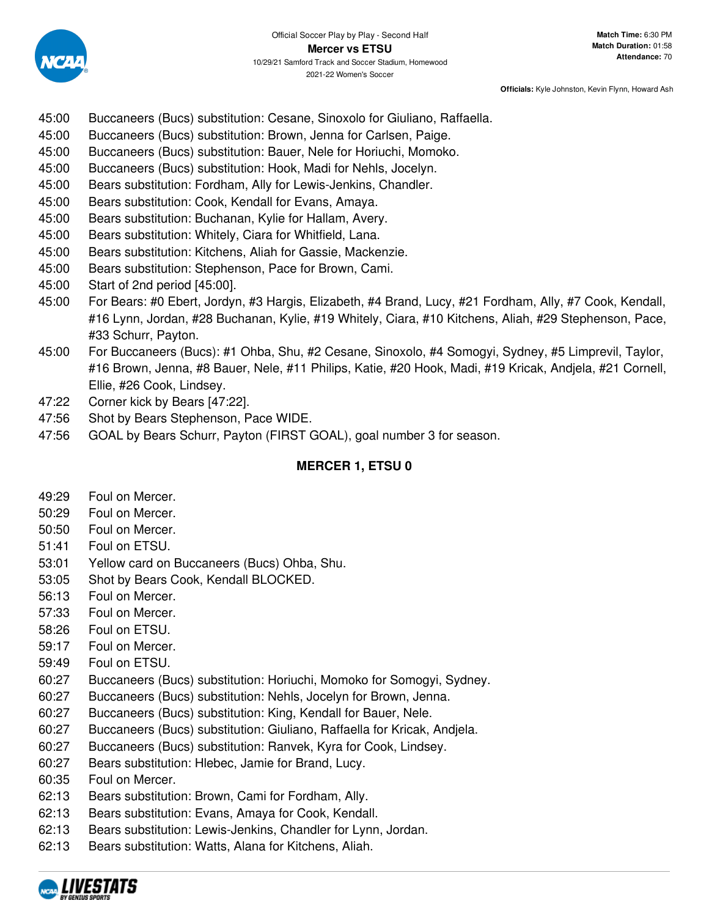

**Officials:** Kyle Johnston, Kevin Flynn, Howard Ash

- 45:00 Buccaneers (Bucs) substitution: Cesane, Sinoxolo for Giuliano, Raffaella.
- 45:00 Buccaneers (Bucs) substitution: Brown, Jenna for Carlsen, Paige.
- 45:00 Buccaneers (Bucs) substitution: Bauer, Nele for Horiuchi, Momoko.
- 45:00 Buccaneers (Bucs) substitution: Hook, Madi for Nehls, Jocelyn.
- 45:00 Bears substitution: Fordham, Ally for Lewis-Jenkins, Chandler.
- 45:00 Bears substitution: Cook, Kendall for Evans, Amaya.
- 45:00 Bears substitution: Buchanan, Kylie for Hallam, Avery.
- 45:00 Bears substitution: Whitely, Ciara for Whitfield, Lana.
- 45:00 Bears substitution: Kitchens, Aliah for Gassie, Mackenzie.
- 45:00 Bears substitution: Stephenson, Pace for Brown, Cami.
- 45:00 Start of 2nd period [45:00].
- 45:00 For Bears: #0 Ebert, Jordyn, #3 Hargis, Elizabeth, #4 Brand, Lucy, #21 Fordham, Ally, #7 Cook, Kendall, #16 Lynn, Jordan, #28 Buchanan, Kylie, #19 Whitely, Ciara, #10 Kitchens, Aliah, #29 Stephenson, Pace, #33 Schurr, Payton.
- 45:00 For Buccaneers (Bucs): #1 Ohba, Shu, #2 Cesane, Sinoxolo, #4 Somogyi, Sydney, #5 Limprevil, Taylor, #16 Brown, Jenna, #8 Bauer, Nele, #11 Philips, Katie, #20 Hook, Madi, #19 Kricak, Andjela, #21 Cornell, Ellie, #26 Cook, Lindsey.
- 47:22 Corner kick by Bears [47:22].
- 47:56 Shot by Bears Stephenson, Pace WIDE.
- 47:56 GOAL by Bears Schurr, Payton (FIRST GOAL), goal number 3 for season.

# **MERCER 1, ETSU 0**

- 49:29 Foul on Mercer.
- 50:29 Foul on Mercer.
- 50:50 Foul on Mercer.
- 51:41 Foul on ETSU.
- 53:01 Yellow card on Buccaneers (Bucs) Ohba, Shu.
- 53:05 Shot by Bears Cook, Kendall BLOCKED.
- 56:13 Foul on Mercer.
- 57:33 Foul on Mercer.
- 58:26 Foul on ETSU.
- 59:17 Foul on Mercer.
- 59:49 Foul on ETSU.
- 60:27 Buccaneers (Bucs) substitution: Horiuchi, Momoko for Somogyi, Sydney.
- 60:27 Buccaneers (Bucs) substitution: Nehls, Jocelyn for Brown, Jenna.
- 60:27 Buccaneers (Bucs) substitution: King, Kendall for Bauer, Nele.
- 60:27 Buccaneers (Bucs) substitution: Giuliano, Raffaella for Kricak, Andjela.
- 60:27 Buccaneers (Bucs) substitution: Ranvek, Kyra for Cook, Lindsey.
- 60:27 Bears substitution: Hlebec, Jamie for Brand, Lucy.
- 60:35 Foul on Mercer.
- 62:13 Bears substitution: Brown, Cami for Fordham, Ally.
- 62:13 Bears substitution: Evans, Amaya for Cook, Kendall.
- 62:13 Bears substitution: Lewis-Jenkins, Chandler for Lynn, Jordan.
- 62:13 Bears substitution: Watts, Alana for Kitchens, Aliah.

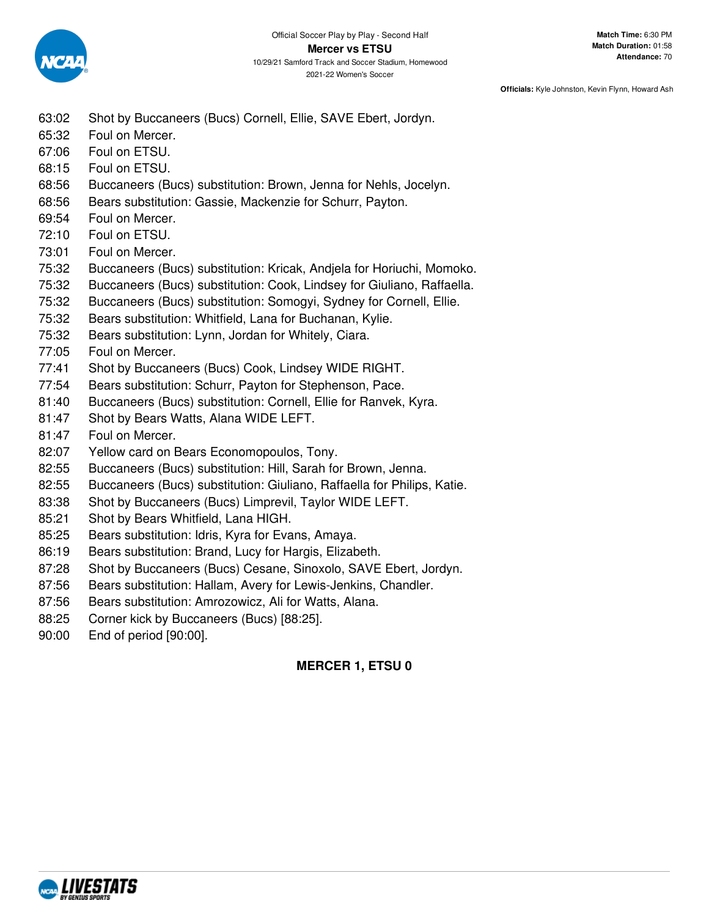

2021-22 Women's Soccer

### **Officials:** Kyle Johnston, Kevin Flynn, Howard Ash

- 63:02 Shot by Buccaneers (Bucs) Cornell, Ellie, SAVE Ebert, Jordyn.
- 65:32 Foul on Mercer.
- 67:06 Foul on ETSU.
- 68:15 Foul on ETSU.
- 68:56 Buccaneers (Bucs) substitution: Brown, Jenna for Nehls, Jocelyn.
- 68:56 Bears substitution: Gassie, Mackenzie for Schurr, Payton.
- 69:54 Foul on Mercer.
- 72:10 Foul on ETSU.
- 73:01 Foul on Mercer.
- 75:32 Buccaneers (Bucs) substitution: Kricak, Andjela for Horiuchi, Momoko.
- 75:32 Buccaneers (Bucs) substitution: Cook, Lindsey for Giuliano, Raffaella.
- 75:32 Buccaneers (Bucs) substitution: Somogyi, Sydney for Cornell, Ellie.
- 75:32 Bears substitution: Whitfield, Lana for Buchanan, Kylie.
- 75:32 Bears substitution: Lynn, Jordan for Whitely, Ciara.
- 77:05 Foul on Mercer.
- 77:41 Shot by Buccaneers (Bucs) Cook, Lindsey WIDE RIGHT.
- 77:54 Bears substitution: Schurr, Payton for Stephenson, Pace.
- 81:40 Buccaneers (Bucs) substitution: Cornell, Ellie for Ranvek, Kyra.
- 81:47 Shot by Bears Watts, Alana WIDE LEFT.
- 81:47 Foul on Mercer.
- 82:07 Yellow card on Bears Economopoulos, Tony.
- 82:55 Buccaneers (Bucs) substitution: Hill, Sarah for Brown, Jenna.
- 82:55 Buccaneers (Bucs) substitution: Giuliano, Raffaella for Philips, Katie.
- 83:38 Shot by Buccaneers (Bucs) Limprevil, Taylor WIDE LEFT.
- 85:21 Shot by Bears Whitfield, Lana HIGH.
- 85:25 Bears substitution: Idris, Kyra for Evans, Amaya.
- 86:19 Bears substitution: Brand, Lucy for Hargis, Elizabeth.
- 87:28 Shot by Buccaneers (Bucs) Cesane, Sinoxolo, SAVE Ebert, Jordyn.
- 87:56 Bears substitution: Hallam, Avery for Lewis-Jenkins, Chandler.
- 87:56 Bears substitution: Amrozowicz, Ali for Watts, Alana.
- 88:25 Corner kick by Buccaneers (Bucs) [88:25].
- 90:00 End of period [90:00].

# **MERCER 1, ETSU 0**